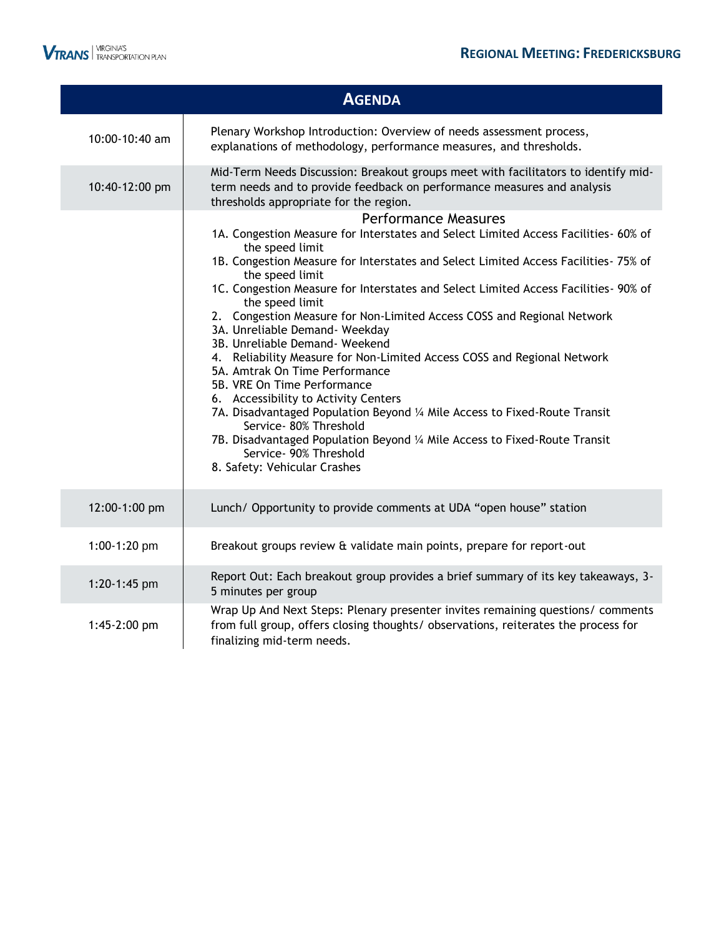|                | <b>AGENDA</b>                                                                                                                                                                                                                                                                                                                                                                                                                                                                                                                                                                                                                                                                                                                                                                                                                                                                                                                               |
|----------------|---------------------------------------------------------------------------------------------------------------------------------------------------------------------------------------------------------------------------------------------------------------------------------------------------------------------------------------------------------------------------------------------------------------------------------------------------------------------------------------------------------------------------------------------------------------------------------------------------------------------------------------------------------------------------------------------------------------------------------------------------------------------------------------------------------------------------------------------------------------------------------------------------------------------------------------------|
| 10:00-10:40 am | Plenary Workshop Introduction: Overview of needs assessment process,<br>explanations of methodology, performance measures, and thresholds.                                                                                                                                                                                                                                                                                                                                                                                                                                                                                                                                                                                                                                                                                                                                                                                                  |
| 10:40-12:00 pm | Mid-Term Needs Discussion: Breakout groups meet with facilitators to identify mid-<br>term needs and to provide feedback on performance measures and analysis<br>thresholds appropriate for the region.                                                                                                                                                                                                                                                                                                                                                                                                                                                                                                                                                                                                                                                                                                                                     |
|                | <b>Performance Measures</b><br>1A. Congestion Measure for Interstates and Select Limited Access Facilities- 60% of<br>the speed limit<br>1B. Congestion Measure for Interstates and Select Limited Access Facilities- 75% of<br>the speed limit<br>1C. Congestion Measure for Interstates and Select Limited Access Facilities- 90% of<br>the speed limit<br>2. Congestion Measure for Non-Limited Access COSS and Regional Network<br>3A. Unreliable Demand- Weekday<br>3B. Unreliable Demand- Weekend<br>4. Reliability Measure for Non-Limited Access COSS and Regional Network<br>5A. Amtrak On Time Performance<br>5B. VRE On Time Performance<br>6. Accessibility to Activity Centers<br>7A. Disadvantaged Population Beyond 1/4 Mile Access to Fixed-Route Transit<br>Service- 80% Threshold<br>7B. Disadvantaged Population Beyond 1/4 Mile Access to Fixed-Route Transit<br>Service- 90% Threshold<br>8. Safety: Vehicular Crashes |
| 12:00-1:00 pm  | Lunch/ Opportunity to provide comments at UDA "open house" station                                                                                                                                                                                                                                                                                                                                                                                                                                                                                                                                                                                                                                                                                                                                                                                                                                                                          |
| 1:00-1:20 pm   | Breakout groups review & validate main points, prepare for report-out                                                                                                                                                                                                                                                                                                                                                                                                                                                                                                                                                                                                                                                                                                                                                                                                                                                                       |
| 1:20-1:45 pm   | Report Out: Each breakout group provides a brief summary of its key takeaways, 3-<br>5 minutes per group                                                                                                                                                                                                                                                                                                                                                                                                                                                                                                                                                                                                                                                                                                                                                                                                                                    |
| 1:45-2:00 pm   | Wrap Up And Next Steps: Plenary presenter invites remaining questions/ comments<br>from full group, offers closing thoughts/ observations, reiterates the process for<br>finalizing mid-term needs.                                                                                                                                                                                                                                                                                                                                                                                                                                                                                                                                                                                                                                                                                                                                         |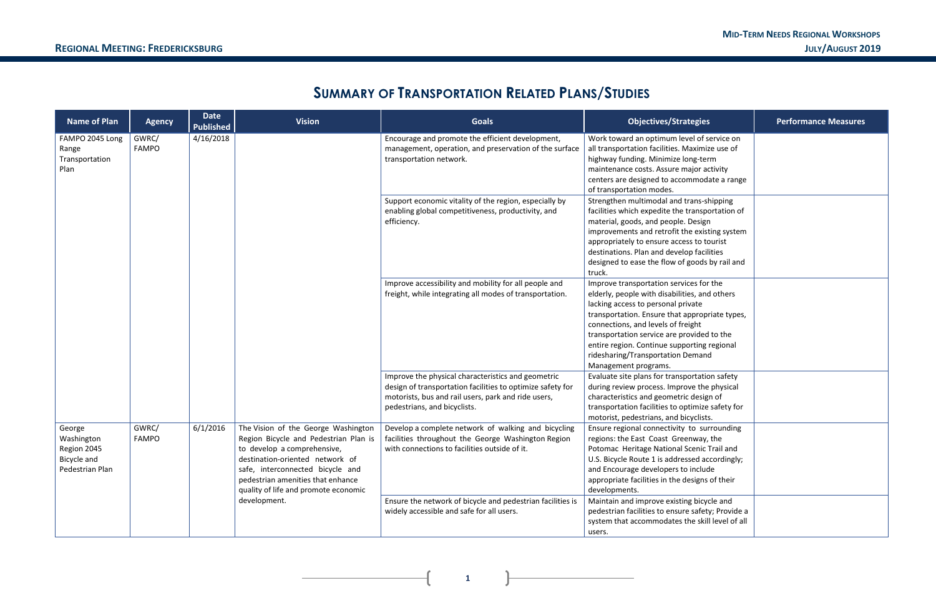**1**

# **SUMMARY OF TRANSPORTATION RELATED PLANS/STUDIES**

| <b>Name of Plan</b>                                                   | <b>Agency</b>         | <b>Date</b><br><b>Published</b> | <b>Vision</b>                                                                                                                                                                                                                                                   | <b>Goals</b>                                                                                                                                                                                            | <b>Objectives/Strategies</b>                                                                                                                                                                                                                                                                                                                                                     | <b>Performance Measures</b> |
|-----------------------------------------------------------------------|-----------------------|---------------------------------|-----------------------------------------------------------------------------------------------------------------------------------------------------------------------------------------------------------------------------------------------------------------|---------------------------------------------------------------------------------------------------------------------------------------------------------------------------------------------------------|----------------------------------------------------------------------------------------------------------------------------------------------------------------------------------------------------------------------------------------------------------------------------------------------------------------------------------------------------------------------------------|-----------------------------|
| FAMPO 2045 Long<br>Range<br>Transportation<br>Plan                    | GWRC/<br><b>FAMPO</b> | 4/16/2018                       |                                                                                                                                                                                                                                                                 | Encourage and promote the efficient development,<br>management, operation, and preservation of the surface<br>transportation network.                                                                   | Work toward an optimum level of service on<br>all transportation facilities. Maximize use of<br>highway funding. Minimize long-term<br>maintenance costs. Assure major activity<br>centers are designed to accommodate a range<br>of transportation modes.                                                                                                                       |                             |
|                                                                       |                       |                                 |                                                                                                                                                                                                                                                                 | Support economic vitality of the region, especially by<br>enabling global competitiveness, productivity, and<br>efficiency.                                                                             | Strengthen multimodal and trans-shipping<br>facilities which expedite the transportation of<br>material, goods, and people. Design<br>improvements and retrofit the existing system<br>appropriately to ensure access to tourist<br>destinations. Plan and develop facilities<br>designed to ease the flow of goods by rail and<br>truck.                                        |                             |
|                                                                       |                       |                                 |                                                                                                                                                                                                                                                                 | Improve accessibility and mobility for all people and<br>freight, while integrating all modes of transportation.                                                                                        | Improve transportation services for the<br>elderly, people with disabilities, and others<br>lacking access to personal private<br>transportation. Ensure that appropriate types,<br>connections, and levels of freight<br>transportation service are provided to the<br>entire region. Continue supporting regional<br>ridesharing/Transportation Demand<br>Management programs. |                             |
|                                                                       |                       |                                 |                                                                                                                                                                                                                                                                 | Improve the physical characteristics and geometric<br>design of transportation facilities to optimize safety for<br>motorists, bus and rail users, park and ride users,<br>pedestrians, and bicyclists. | Evaluate site plans for transportation safety<br>during review process. Improve the physical<br>characteristics and geometric design of<br>transportation facilities to optimize safety for<br>motorist, pedestrians, and bicyclists.                                                                                                                                            |                             |
| George<br>Washington<br>Region 2045<br>Bicycle and<br>Pedestrian Plan | GWRC/<br><b>FAMPO</b> | 6/1/2016                        | The Vision of the George Washington<br>Region Bicycle and Pedestrian Plan is<br>to develop a comprehensive,<br>destination-oriented network of<br>safe, interconnected bicycle and<br>pedestrian amenities that enhance<br>quality of life and promote economic | Develop a complete network of walking and bicycling<br>facilities throughout the George Washington Region<br>with connections to facilities outside of it.                                              | Ensure regional connectivity to surrounding<br>regions: the East Coast Greenway, the<br>Potomac Heritage National Scenic Trail and<br>U.S. Bicycle Route 1 is addressed accordingly;<br>and Encourage developers to include<br>appropriate facilities in the designs of their<br>developments.                                                                                   |                             |
|                                                                       |                       |                                 | development.                                                                                                                                                                                                                                                    | Ensure the network of bicycle and pedestrian facilities is<br>widely accessible and safe for all users.                                                                                                 | Maintain and improve existing bicycle and<br>pedestrian facilities to ensure safety; Provide a<br>system that accommodates the skill level of all<br>users.                                                                                                                                                                                                                      |                             |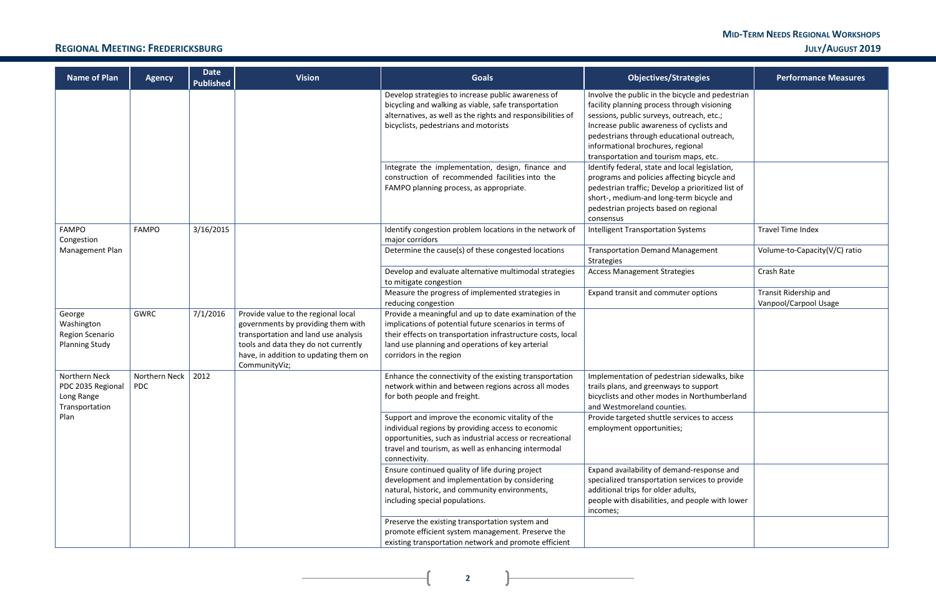#### **MID-TERM NEEDS REGIONAL WORKSHOPS REGIONAL MEETING: FREDERICKSBURG JULY/AUGUST 2019**

**2**

 $\mathbf{r}$ 

| <b>Name of Plan</b>                                                | <b>Agency</b>               | <b>Date</b><br><b>Published</b> | <b>Vision</b>                                                                                                                                                                                                       | <b>Goals</b>                                                                                                                                                                                                                                                   | <b>Objectives/Strategies</b>                                                                                                                                                                                                                                                                                         | <b>Performance Measures</b>                    |
|--------------------------------------------------------------------|-----------------------------|---------------------------------|---------------------------------------------------------------------------------------------------------------------------------------------------------------------------------------------------------------------|----------------------------------------------------------------------------------------------------------------------------------------------------------------------------------------------------------------------------------------------------------------|----------------------------------------------------------------------------------------------------------------------------------------------------------------------------------------------------------------------------------------------------------------------------------------------------------------------|------------------------------------------------|
|                                                                    |                             |                                 |                                                                                                                                                                                                                     | Develop strategies to increase public awareness of<br>bicycling and walking as viable, safe transportation<br>alternatives, as well as the rights and responsibilities of<br>bicyclists, pedestrians and motorists                                             | Involve the public in the bicycle and pedestrian<br>facility planning process through visioning<br>sessions, public surveys, outreach, etc.;<br>Increase public awareness of cyclists and<br>pedestrians through educational outreach,<br>informational brochures, regional<br>transportation and tourism maps, etc. |                                                |
|                                                                    |                             |                                 |                                                                                                                                                                                                                     | Integrate the implementation, design, finance and<br>construction of recommended facilities into the<br>FAMPO planning process, as appropriate.                                                                                                                | Identify federal, state and local legislation,<br>programs and policies affecting bicycle and<br>pedestrian traffic; Develop a prioritized list of<br>short-, medium-and long-term bicycle and<br>pedestrian projects based on regional<br>consensus                                                                 |                                                |
| <b>FAMPO</b><br>Congestion                                         | <b>FAMPO</b>                | 3/16/2015                       |                                                                                                                                                                                                                     | Identify congestion problem locations in the network of<br>major corridors                                                                                                                                                                                     | <b>Intelligent Transportation Systems</b>                                                                                                                                                                                                                                                                            | <b>Travel Time Index</b>                       |
| Management Plan                                                    |                             |                                 |                                                                                                                                                                                                                     | Determine the cause(s) of these congested locations                                                                                                                                                                                                            | <b>Transportation Demand Management</b><br>Strategies                                                                                                                                                                                                                                                                | Volume-to-Capacity(V/C) ratio                  |
|                                                                    |                             |                                 |                                                                                                                                                                                                                     | Develop and evaluate alternative multimodal strategies<br>to mitigate congestion                                                                                                                                                                               | <b>Access Management Strategies</b>                                                                                                                                                                                                                                                                                  | Crash Rate                                     |
|                                                                    |                             |                                 |                                                                                                                                                                                                                     | Measure the progress of implemented strategies in<br>reducing congestion                                                                                                                                                                                       | Expand transit and commuter options                                                                                                                                                                                                                                                                                  | Transit Ridership and<br>Vanpool/Carpool Usage |
| George<br>Washington<br>Region Scenario<br><b>Planning Study</b>   | <b>GWRC</b>                 | 7/1/2016                        | Provide value to the regional local<br>governments by providing them with<br>transportation and land use analysis<br>tools and data they do not currently<br>have, in addition to updating them on<br>CommunityViz; | Provide a meaningful and up to date examination of the<br>implications of potential future scenarios in terms of<br>their effects on transportation infrastructure costs, local<br>land use planning and operations of key arterial<br>corridors in the region |                                                                                                                                                                                                                                                                                                                      |                                                |
| Northern Neck<br>PDC 2035 Regional<br>Long Range<br>Transportation | Northern Neck<br><b>PDC</b> | 2012                            |                                                                                                                                                                                                                     | Enhance the connectivity of the existing transportation<br>network within and between regions across all modes<br>for both people and freight.                                                                                                                 | Implementation of pedestrian sidewalks, bike<br>trails plans, and greenways to support<br>bicyclists and other modes in Northumberland<br>and Westmoreland counties.                                                                                                                                                 |                                                |
| Plan                                                               |                             |                                 |                                                                                                                                                                                                                     | Support and improve the economic vitality of the<br>individual regions by providing access to economic<br>opportunities, such as industrial access or recreational<br>travel and tourism, as well as enhancing intermodal<br>connectivity.                     | Provide targeted shuttle services to access<br>employment opportunities;                                                                                                                                                                                                                                             |                                                |
|                                                                    |                             |                                 |                                                                                                                                                                                                                     | Ensure continued quality of life during project<br>development and implementation by considering<br>natural, historic, and community environments,<br>including special populations.                                                                           | Expand availability of demand-response and<br>specialized transportation services to provide<br>additional trips for older adults,<br>people with disabilities, and people with lower<br>incomes;                                                                                                                    |                                                |
|                                                                    |                             |                                 |                                                                                                                                                                                                                     | Preserve the existing transportation system and<br>promote efficient system management. Preserve the<br>existing transportation network and promote efficient                                                                                                  |                                                                                                                                                                                                                                                                                                                      |                                                |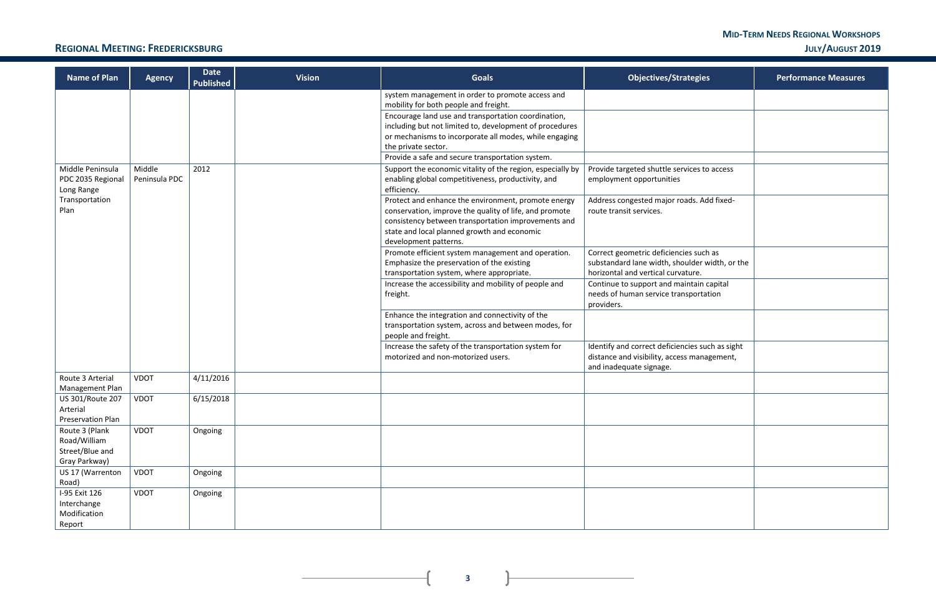#### **MID-TERM NEEDS REGIONAL WORKSHOPS REGIONAL MEETING: FREDERICKSBURG JULY/AUGUST 2019**

| ategies                                       | <b>Performance Measures</b> |
|-----------------------------------------------|-----------------------------|
|                                               |                             |
|                                               |                             |
|                                               |                             |
|                                               |                             |
| vices to access                               |                             |
| ads. Add fixed-                               |                             |
|                                               |                             |
| ies such as<br>bulder width, or the<br>ature. |                             |
| aintain capital<br>nsportation                |                             |
|                                               |                             |
| ncies such as sight<br>s management,          |                             |
|                                               |                             |
|                                               |                             |
|                                               |                             |
|                                               |                             |
|                                               |                             |
|                                               |                             |
|                                               |                             |

**3**

| <b>Name of Plan</b>                        | <b>Agency</b> | <b>Date</b><br><b>Published</b> | <b>Vision</b> | <b>Goals</b>                                                                                                   | <b>Objectives/Strategies</b>                                                         | <b>Performance Measures</b> |
|--------------------------------------------|---------------|---------------------------------|---------------|----------------------------------------------------------------------------------------------------------------|--------------------------------------------------------------------------------------|-----------------------------|
|                                            |               |                                 |               | system management in order to promote access and<br>mobility for both people and freight.                      |                                                                                      |                             |
|                                            |               |                                 |               | Encourage land use and transportation coordination,<br>including but not limited to, development of procedures |                                                                                      |                             |
|                                            |               |                                 |               | or mechanisms to incorporate all modes, while engaging                                                         |                                                                                      |                             |
|                                            |               |                                 |               | the private sector.<br>Provide a safe and secure transportation system.                                        |                                                                                      |                             |
| Middle Peninsula                           | Middle        | 2012                            |               | Support the economic vitality of the region, especially by                                                     | Provide targeted shuttle services to access                                          |                             |
| PDC 2035 Regional<br>Long Range            | Peninsula PDC |                                 |               | enabling global competitiveness, productivity, and<br>efficiency.                                              | employment opportunities                                                             |                             |
| Transportation                             |               |                                 |               | Protect and enhance the environment, promote energy                                                            | Address congested major roads. Add fixed-                                            |                             |
| Plan                                       |               |                                 |               | conservation, improve the quality of life, and promote<br>consistency between transportation improvements and  | route transit services.                                                              |                             |
|                                            |               |                                 |               | state and local planned growth and economic<br>development patterns.                                           |                                                                                      |                             |
|                                            |               |                                 |               | Promote efficient system management and operation.                                                             | Correct geometric deficiencies such as                                               |                             |
|                                            |               |                                 |               | Emphasize the preservation of the existing<br>transportation system, where appropriate.                        | substandard lane width, shoulder width, or the<br>horizontal and vertical curvature. |                             |
|                                            |               |                                 |               | Increase the accessibility and mobility of people and                                                          | Continue to support and maintain capital                                             |                             |
|                                            |               |                                 |               | freight.                                                                                                       | needs of human service transportation                                                |                             |
|                                            |               |                                 |               | Enhance the integration and connectivity of the                                                                | providers.                                                                           |                             |
|                                            |               |                                 |               | transportation system, across and between modes, for<br>people and freight.                                    |                                                                                      |                             |
|                                            |               |                                 |               | Increase the safety of the transportation system for                                                           | Identify and correct deficiencies such as sight                                      |                             |
|                                            |               |                                 |               | motorized and non-motorized users.                                                                             | distance and visibility, access management,<br>and inadequate signage.               |                             |
| Route 3 Arterial<br>Management Plan        | VDOT          | 4/11/2016                       |               |                                                                                                                |                                                                                      |                             |
| US 301/Route 207                           | VDOT          | 6/15/2018                       |               |                                                                                                                |                                                                                      |                             |
| Arterial                                   |               |                                 |               |                                                                                                                |                                                                                      |                             |
| <b>Preservation Plan</b><br>Route 3 (Plank | <b>VDOT</b>   | Ongoing                         |               |                                                                                                                |                                                                                      |                             |
| Road/William                               |               |                                 |               |                                                                                                                |                                                                                      |                             |
| Street/Blue and                            |               |                                 |               |                                                                                                                |                                                                                      |                             |
| Gray Parkway)<br>US 17 (Warrenton          | <b>VDOT</b>   | Ongoing                         |               |                                                                                                                |                                                                                      |                             |
| Road)                                      |               |                                 |               |                                                                                                                |                                                                                      |                             |
| I-95 Exit 126                              | <b>VDOT</b>   | Ongoing                         |               |                                                                                                                |                                                                                      |                             |
| Interchange<br>Modification                |               |                                 |               |                                                                                                                |                                                                                      |                             |
| Report                                     |               |                                 |               |                                                                                                                |                                                                                      |                             |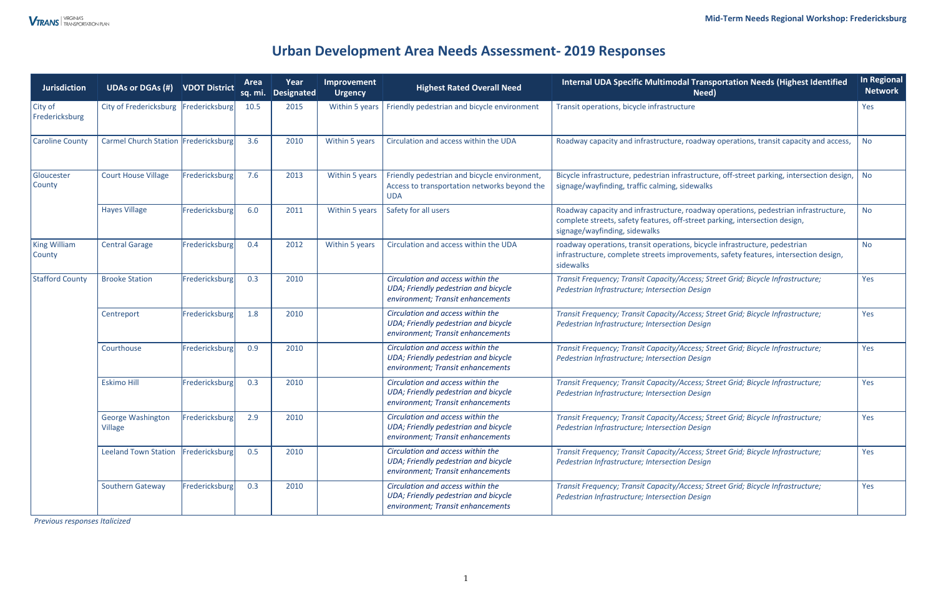# **Urban Development Area Needs Assessment- 2019 Responses**

*Previous responses Italicized* 

| <b>Jurisdiction</b>           | <b>UDAs or DGAs (#)</b>                    | <b>VDOT District</b> | Area<br><b>sq. mi.</b> | Year<br>Designated | Improvement<br><b>Urgency</b> | <b>Highest Rated Overall Need</b>                                                                              | <b>Internal UDA Specific Multimodal Transportation Needs (Highest Identified</b><br>Need)                                                                                                           | <b>In Regional</b><br><b>Network</b> |
|-------------------------------|--------------------------------------------|----------------------|------------------------|--------------------|-------------------------------|----------------------------------------------------------------------------------------------------------------|-----------------------------------------------------------------------------------------------------------------------------------------------------------------------------------------------------|--------------------------------------|
| City of<br>Fredericksburg     | City of Fredericksburg                     | Fredericksburg       | 10.5                   | 2015               | Within 5 years                | Friendly pedestrian and bicycle environment                                                                    | Transit operations, bicycle infrastructure                                                                                                                                                          | Yes                                  |
| <b>Caroline County</b>        | Carmel Church Station Fredericksburg       |                      | 3.6                    | 2010               | Within 5 years                | Circulation and access within the UDA                                                                          | Roadway capacity and infrastructure, roadway operations, transit capacity and access,                                                                                                               | <b>No</b>                            |
| Gloucester<br>County          | <b>Court House Village</b>                 | Fredericksburg       | 7.6                    | 2013               | Within 5 years                | Friendly pedestrian and bicycle environment,<br>Access to transportation networks beyond the<br><b>UDA</b>     | Bicycle infrastructure, pedestrian infrastructure, off-street parking, intersection design,<br>signage/wayfinding, traffic calming, sidewalks                                                       | <b>No</b>                            |
|                               | <b>Hayes Village</b>                       | Fredericksburg       | 6.0                    | 2011               | Within 5 years                | Safety for all users                                                                                           | Roadway capacity and infrastructure, roadway operations, pedestrian infrastructure,<br>complete streets, safety features, off-street parking, intersection design,<br>signage/wayfinding, sidewalks | <b>No</b>                            |
| <b>King William</b><br>County | <b>Central Garage</b>                      | Fredericksburg       | 0.4                    | 2012               | Within 5 years                | Circulation and access within the UDA                                                                          | roadway operations, transit operations, bicycle infrastructure, pedestrian<br>infrastructure, complete streets improvements, safety features, intersection design,<br>sidewalks                     | <b>No</b>                            |
| <b>Stafford County</b>        | <b>Brooke Station</b>                      | Fredericksburg       | 0.3                    | 2010               |                               | Circulation and access within the<br>UDA; Friendly pedestrian and bicycle<br>environment; Transit enhancements | Transit Frequency; Transit Capacity/Access; Street Grid; Bicycle Infrastructure;<br>Pedestrian Infrastructure; Intersection Design                                                                  | Yes                                  |
|                               | Centreport                                 | Fredericksburg       | 1.8                    | 2010               |                               | Circulation and access within the<br>UDA; Friendly pedestrian and bicycle<br>environment; Transit enhancements | Transit Frequency; Transit Capacity/Access; Street Grid; Bicycle Infrastructure;<br>Pedestrian Infrastructure; Intersection Design                                                                  | Yes                                  |
|                               | Courthouse                                 | Fredericksburg       | 0.9                    | 2010               |                               | Circulation and access within the<br>UDA; Friendly pedestrian and bicycle<br>environment; Transit enhancements | Transit Frequency; Transit Capacity/Access; Street Grid; Bicycle Infrastructure;<br>Pedestrian Infrastructure; Intersection Design                                                                  | Yes                                  |
|                               | <b>Eskimo Hill</b>                         | Fredericksburg       | 0.3                    | 2010               |                               | Circulation and access within the<br>UDA; Friendly pedestrian and bicycle<br>environment; Transit enhancements | Transit Frequency; Transit Capacity/Access; Street Grid; Bicycle Infrastructure;<br>Pedestrian Infrastructure; Intersection Design                                                                  | Yes                                  |
|                               | <b>George Washington</b><br><b>Village</b> | Fredericksburg       | 2.9                    | 2010               |                               | Circulation and access within the<br>UDA; Friendly pedestrian and bicycle<br>environment; Transit enhancements | Transit Frequency; Transit Capacity/Access; Street Grid; Bicycle Infrastructure;<br>Pedestrian Infrastructure; Intersection Design                                                                  | Yes                                  |
|                               | <b>Leeland Town Station</b>                | Fredericksburg       | 0.5                    | 2010               |                               | Circulation and access within the<br>UDA; Friendly pedestrian and bicycle<br>environment; Transit enhancements | Transit Frequency; Transit Capacity/Access; Street Grid; Bicycle Infrastructure;<br>Pedestrian Infrastructure; Intersection Design                                                                  | Yes                                  |
|                               | Southern Gateway                           | Fredericksburg       | 0.3                    | 2010               |                               | Circulation and access within the<br>UDA; Friendly pedestrian and bicycle<br>environment; Transit enhancements | Transit Frequency; Transit Capacity/Access; Street Grid; Bicycle Infrastructure;<br>Pedestrian Infrastructure; Intersection Design                                                                  | Yes                                  |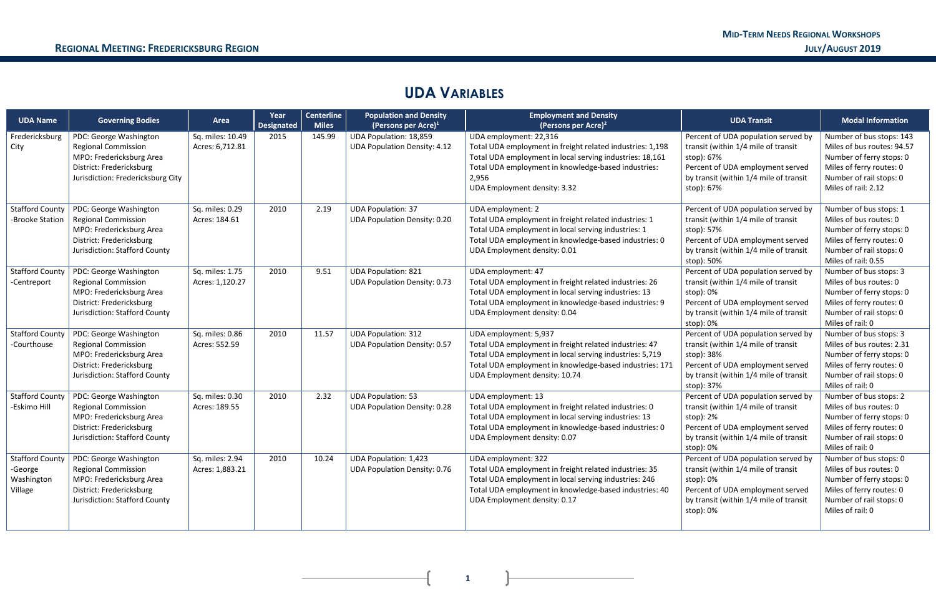# **UDA VARIABLES**

| <b>UDA Name</b>                                            | <b>Governing Bodies</b>                                                                                                                           | Area                                | Year<br><b>Designated</b> | <b>Centerline</b><br><b>Miles</b> | <b>Population and Density</b><br>(Persons per Acre) $1$             | <b>Employment and Density</b><br>(Persons per Acre) <sup>2</sup>                                                                                                                                                                                | <b>UDA Transit</b>                                                                                                                                                                   | <b>Modal Information</b>                                                                                                                                         |
|------------------------------------------------------------|---------------------------------------------------------------------------------------------------------------------------------------------------|-------------------------------------|---------------------------|-----------------------------------|---------------------------------------------------------------------|-------------------------------------------------------------------------------------------------------------------------------------------------------------------------------------------------------------------------------------------------|--------------------------------------------------------------------------------------------------------------------------------------------------------------------------------------|------------------------------------------------------------------------------------------------------------------------------------------------------------------|
| Fredericksburg<br>City                                     | PDC: George Washington<br><b>Regional Commission</b><br>MPO: Fredericksburg Area<br>District: Fredericksburg<br>Jurisdiction: Fredericksburg City | Sq. miles: 10.49<br>Acres: 6,712.81 | 2015                      | 145.99                            | UDA Population: 18,859<br><b>UDA Population Density: 4.12</b>       | UDA employment: 22,316<br>Total UDA employment in freight related industries: 1,198<br>Total UDA employment in local serving industries: 18,161<br>Total UDA employment in knowledge-based industries:<br>2,956<br>UDA Employment density: 3.32 | Percent of UDA population served by<br>transit (within 1/4 mile of transit<br>stop): 67%<br>Percent of UDA employment served<br>by transit (within 1/4 mile of transit<br>stop): 67% | Number of bus stops: 143<br>Miles of bus routes: 94.57<br>Number of ferry stops: 0<br>Miles of ferry routes: 0<br>Number of rail stops: 0<br>Miles of rail: 2.12 |
| <b>Stafford County</b><br>-Brooke Station                  | PDC: George Washington<br><b>Regional Commission</b><br>MPO: Fredericksburg Area<br>District: Fredericksburg<br>Jurisdiction: Stafford County     | Sq. miles: 0.29<br>Acres: 184.61    | 2010                      | 2.19                              | <b>UDA Population: 37</b><br><b>UDA Population Density: 0.20</b>    | UDA employment: 2<br>Total UDA employment in freight related industries: 1<br>Total UDA employment in local serving industries: 1<br>Total UDA employment in knowledge-based industries: 0<br>UDA Employment density: 0.01                      | Percent of UDA population served by<br>transit (within 1/4 mile of transit<br>stop): 57%<br>Percent of UDA employment served<br>by transit (within 1/4 mile of transit<br>stop): 50% | Number of bus stops: 1<br>Miles of bus routes: 0<br>Number of ferry stops: 0<br>Miles of ferry routes: 0<br>Number of rail stops: 0<br>Miles of rail: 0.55       |
| <b>Stafford County</b><br>-Centreport                      | PDC: George Washington<br><b>Regional Commission</b><br>MPO: Fredericksburg Area<br>District: Fredericksburg<br>Jurisdiction: Stafford County     | Sq. miles: 1.75<br>Acres: 1,120.27  | 2010                      | 9.51                              | <b>UDA Population: 821</b><br><b>UDA Population Density: 0.73</b>   | UDA employment: 47<br>Total UDA employment in freight related industries: 26<br>Total UDA employment in local serving industries: 13<br>Total UDA employment in knowledge-based industries: 9<br>UDA Employment density: 0.04                   | Percent of UDA population served by<br>transit (within 1/4 mile of transit<br>stop): 0%<br>Percent of UDA employment served<br>by transit (within 1/4 mile of transit<br>stop): 0%   | Number of bus stops: 3<br>Miles of bus routes: 0<br>Number of ferry stops: 0<br>Miles of ferry routes: 0<br>Number of rail stops: 0<br>Miles of rail: 0          |
| <b>Stafford County</b><br>-Courthouse                      | PDC: George Washington<br><b>Regional Commission</b><br>MPO: Fredericksburg Area<br>District: Fredericksburg<br>Jurisdiction: Stafford County     | Sq. miles: 0.86<br>Acres: 552.59    | 2010                      | 11.57                             | <b>UDA Population: 312</b><br><b>UDA Population Density: 0.57</b>   | UDA employment: 5,937<br>Total UDA employment in freight related industries: 47<br>Total UDA employment in local serving industries: 5,719<br>Total UDA employment in knowledge-based industries: 171<br>UDA Employment density: 10.74          | Percent of UDA population served by<br>transit (within 1/4 mile of transit<br>stop): 38%<br>Percent of UDA employment served<br>by transit (within 1/4 mile of transit<br>stop): 37% | Number of bus stops: 3<br>Miles of bus routes: 2.31<br>Number of ferry stops: 0<br>Miles of ferry routes: 0<br>Number of rail stops: 0<br>Miles of rail: 0       |
| <b>Stafford County</b><br>-Eskimo Hill                     | PDC: George Washington<br><b>Regional Commission</b><br>MPO: Fredericksburg Area<br>District: Fredericksburg<br>Jurisdiction: Stafford County     | Sq. miles: 0.30<br>Acres: 189.55    | 2010                      | 2.32                              | <b>UDA Population: 53</b><br><b>UDA Population Density: 0.28</b>    | UDA employment: 13<br>Total UDA employment in freight related industries: 0<br>Total UDA employment in local serving industries: 13<br>Total UDA employment in knowledge-based industries: 0<br>UDA Employment density: 0.07                    | Percent of UDA population served by<br>transit (within 1/4 mile of transit<br>stop): 2%<br>Percent of UDA employment served<br>by transit (within 1/4 mile of transit<br>stop): 0%   | Number of bus stops: 2<br>Miles of bus routes: 0<br>Number of ferry stops: 0<br>Miles of ferry routes: 0<br>Number of rail stops: 0<br>Miles of rail: 0          |
| <b>Stafford County</b><br>-George<br>Washington<br>Village | PDC: George Washington<br><b>Regional Commission</b><br>MPO: Fredericksburg Area<br>District: Fredericksburg<br>Jurisdiction: Stafford County     | Sq. miles: 2.94<br>Acres: 1,883.21  | 2010                      | 10.24                             | <b>UDA Population: 1,423</b><br><b>UDA Population Density: 0.76</b> | UDA employment: 322<br>Total UDA employment in freight related industries: 35<br>Total UDA employment in local serving industries: 246<br>Total UDA employment in knowledge-based industries: 40<br>UDA Employment density: 0.17                | Percent of UDA population served by<br>transit (within 1/4 mile of transit<br>stop): 0%<br>Percent of UDA employment served<br>by transit (within 1/4 mile of transit<br>stop): 0%   | Number of bus stops: 0<br>Miles of bus routes: 0<br>Number of ferry stops: 0<br>Miles of ferry routes: 0<br>Number of rail stops: 0<br>Miles of rail: 0          |

 $\mathbf{R}$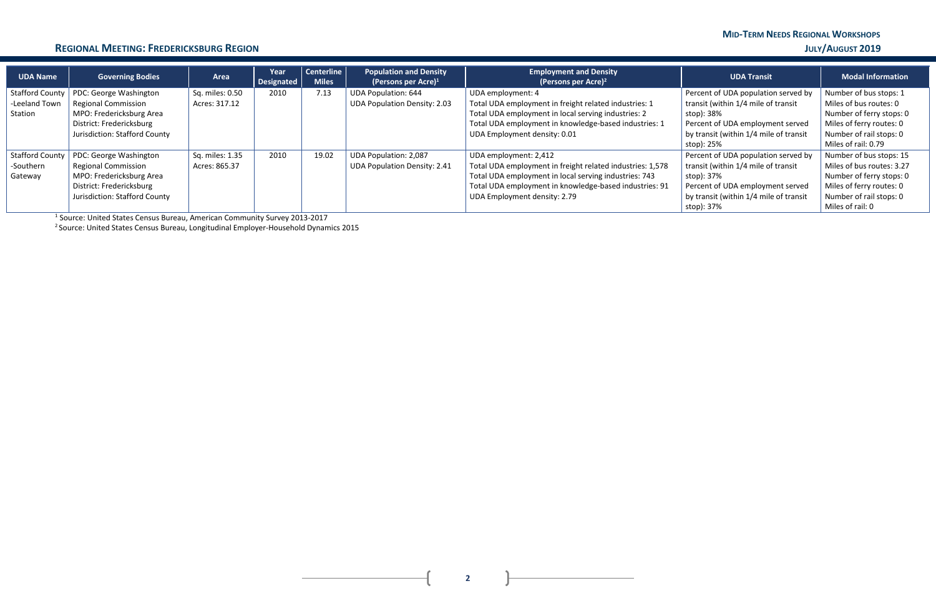# **MID-TERM NEEDS REGIONAL WORKSHOPS**

### **REGIONAL MEETING: FREDERICKSBURG REGION JULY/AUGUST 2019**

| <b>UDA Name</b>        | <b>Governing Bodies</b>       | Area            | Year<br>Designated | <b>Centerline</b><br><b>Miles</b> | <b>Population and Density</b><br>(Persons per Acre) $1$ | <b>Employment and Density</b><br>(Persons per Acre) <sup>2</sup> | <b>UDA Transit</b>                     | <b>Modal Information</b>  |
|------------------------|-------------------------------|-----------------|--------------------|-----------------------------------|---------------------------------------------------------|------------------------------------------------------------------|----------------------------------------|---------------------------|
| <b>Stafford County</b> | PDC: George Washington        | Sq. miles: 0.50 | 2010               | 7.13                              | <b>UDA Population: 644</b>                              | UDA employment: 4                                                | Percent of UDA population served by    | Number of bus stops: 1    |
| -Leeland Town          | <b>Regional Commission</b>    | Acres: 317.12   |                    |                                   | <b>UDA Population Density: 2.03</b>                     | Total UDA employment in freight related industries: 1            | transit (within 1/4 mile of transit    | Miles of bus routes: 0    |
| Station                | MPO: Fredericksburg Area      |                 |                    |                                   |                                                         | Total UDA employment in local serving industries: 2              | stop): 38%                             | Number of ferry stops: 0  |
|                        | District: Fredericksburg      |                 |                    |                                   |                                                         | Total UDA employment in knowledge-based industries: 1            | Percent of UDA employment served       | Miles of ferry routes: 0  |
|                        | Jurisdiction: Stafford County |                 |                    |                                   |                                                         | UDA Employment density: 0.01                                     | by transit (within 1/4 mile of transit | Number of rail stops: 0   |
|                        |                               |                 |                    |                                   |                                                         |                                                                  | stop): 25%                             | Miles of rail: 0.79       |
| <b>Stafford County</b> | PDC: George Washington        | Sq. miles: 1.35 | 2010               | 19.02                             | UDA Population: 2,087                                   | UDA employment: 2,412                                            | Percent of UDA population served by    | Number of bus stops: 15   |
| -Southern              | <b>Regional Commission</b>    | Acres: 865.37   |                    |                                   | <b>UDA Population Density: 2.41</b>                     | Total UDA employment in freight related industries: 1,578        | transit (within 1/4 mile of transit    | Miles of bus routes: 3.27 |
| Gateway                | MPO: Fredericksburg Area      |                 |                    |                                   |                                                         | Total UDA employment in local serving industries: 743            | stop): 37%                             | Number of ferry stops: 0  |
|                        | District: Fredericksburg      |                 |                    |                                   |                                                         | Total UDA employment in knowledge-based industries: 91           | Percent of UDA employment served       | Miles of ferry routes: 0  |
|                        | Jurisdiction: Stafford County |                 |                    |                                   |                                                         | UDA Employment density: 2.79                                     | by transit (within 1/4 mile of transit | Number of rail stops: 0   |
|                        |                               |                 |                    |                                   |                                                         |                                                                  | stop): 37%                             | Miles of rail: 0          |

<sup>1</sup> Source: United States Census Bureau, American Community Survey 2013-2017

<sup>2</sup> Source: United States Census Bureau, Longitudinal Employer-Household Dynamics 2015